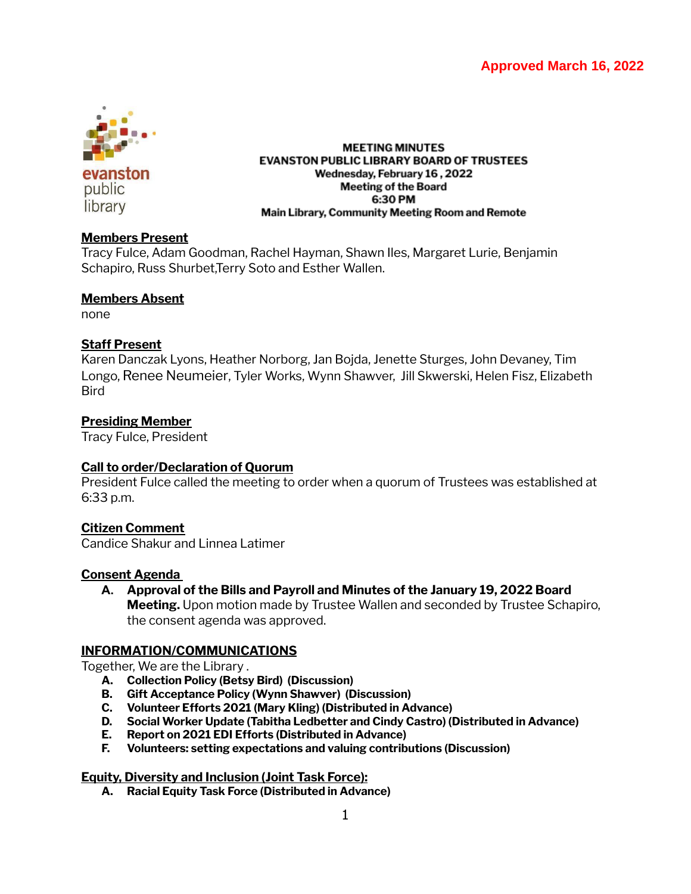# **Approved March 16, 2022**



evanston public library

#### **MEETING MINUTES EVANSTON PUBLIC LIBRARY BOARD OF TRUSTEES** Wednesday, February 16, 2022 **Meeting of the Board** 6:30 PM Main Library, Community Meeting Room and Remote

## **Members Present**

Tracy Fulce, Adam Goodman, Rachel Hayman, Shawn Iles, Margaret Lurie, Benjamin Schapiro, Russ Shurbet,Terry Soto and Esther Wallen.

### **Members Absent**

none

## **Staff Present**

Karen Danczak Lyons, Heather Norborg, Jan Bojda, Jenette Sturges, John Devaney, Tim Longo, Renee Neumeier, Tyler Works, Wynn Shawver, Jill Skwerski, Helen Fisz, Elizabeth **Bird** 

## **Presiding Member**

Tracy Fulce, President

## **Call to order/Declaration of Quorum**

President Fulce called the meeting to order when a quorum of Trustees was established at 6:33 p.m.

## **Citizen Comment**

Candice Shakur and Linnea Latimer

## **Consent Agenda**

**A. Approval of the Bills and Payroll and Minutes of the January 19, 2022 Board Meeting.** Upon motion made by Trustee Wallen and seconded by Trustee Schapiro, the consent agenda was approved.

## **INFORMATION/COMMUNICATIONS**

Together, We are the Library .

- **A. Collection Policy (Betsy Bird) (Discussion)**
- **B. Gift Acceptance Policy (Wynn Shawver) (Discussion)**
- **C. Volunteer Efforts 2021 (Mary Kling) (Distributed in Advance)**
- **D. Social Worker Update (Tabitha Ledbetter and Cindy Castro) (Distributed in Advance)**
- **E. Report on 2021 EDI Efforts (Distributed in Advance)**
- **F. Volunteers: setting expectations and valuing contributions (Discussion)**

## **Equity, Diversity and Inclusion (Joint Task Force):**

**A. Racial Equity Task Force (Distributed in Advance)**